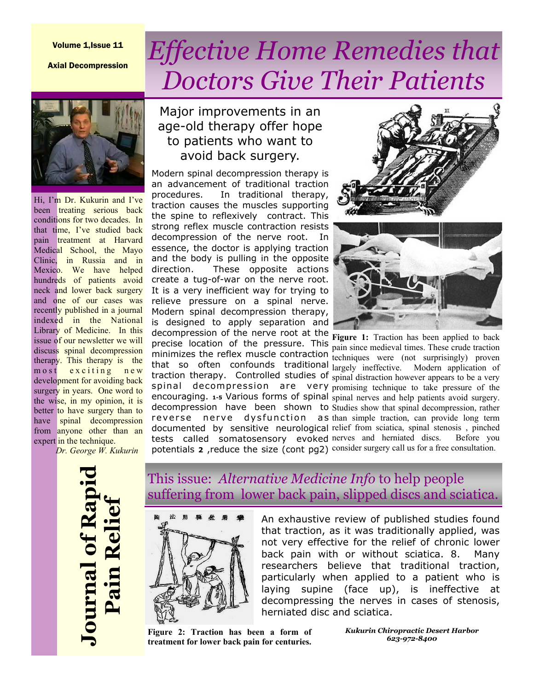#### Volume 1,Issue 11

Axial Decompression

# *Effective Home Remedies that Doctors Give Their Patients*



Hi, I'm Dr. Kukurin and I've been **treating** serious back conditions for two decades. In that time, I've studied back pain treatment at Harvard Medical School, the Mayo Clinic, in Russia and in Mexico. We have helped hundreds of patients avoid neck and lower back surgery and one of our cases was recently published in a journal indexed in the National Library of Medicine. In this issue of our newsletter we will discuss spinal decompression therapy. This therapy is the m o st exciting new development for avoiding back surgery in years. One word to the wise, in my opinion, it is better to have surgery than to have spinal decompression from anyone other than an expert in the technique.

*Dr. George W. Kukurin*

### Major improvements in an age-old therapy offer hope to patients who want to avoid back surgery.

Modern spinal decompression therapy is an advancement of traditional traction procedures. In traditional therapy, traction causes the muscles supporting the spine to reflexively contract. This strong reflex muscle contraction resists decompression of the nerve root. In essence, the doctor is applying traction and the body is pulling in the opposite direction. These opposite actions create a tug-of-war on the nerve root. It is a very inefficient way for trying to relieve pressure on a spinal nerve. Modern spinal decompression therapy, is designed to apply separation and decompression of the nerve root at the **Figure 1:** Traction has been applied to back





precise location of the pressure. This pain since medieval times. These crude traction minimizes the reflex muscle contraction techniques were (not surprisingly) proven that so often confounds traditional largely ineffective. Modern application of traction therapy. Controlled studies of  $\frac{1}{2}$  spinal distraction however appears to be a very spinal decompression are very promising technique to take pressure of the encouraging. 1-5 Various forms of spinal spinal nerves and help patients avoid surgery. decompression have been shown to Studies show that spinal decompression, rather reverse nerve dysfunction as than simple traction, can provide long term documented by sensitive neurological relief from sciatica, spinal stenosis, pinched tests called somatosensory evoked nerves and herniated discs. Before you potentials **2** ,reduce the size (cont pg2) consider surgery call us for a free consultation.



#### This issue: *Alternative Medicine Info* to help people suffering from lower back pain, slipped discs and sciatica.



An exhaustive review of published studies found that traction, as it was traditionally applied, was not very effective for the relief of chronic lower back pain with or without sciatica. 8. Many researchers believe that traditional traction, particularly when applied to a patient who is laying supine (face up), is ineffective at decompressing the nerves in cases of stenosis, herniated disc and sciatica.

**Figure 2: Traction has been a form of treatment for lower back pain for centuries.** 

*Kukurin Chiropractic Desert Harbor 623-972-8400*